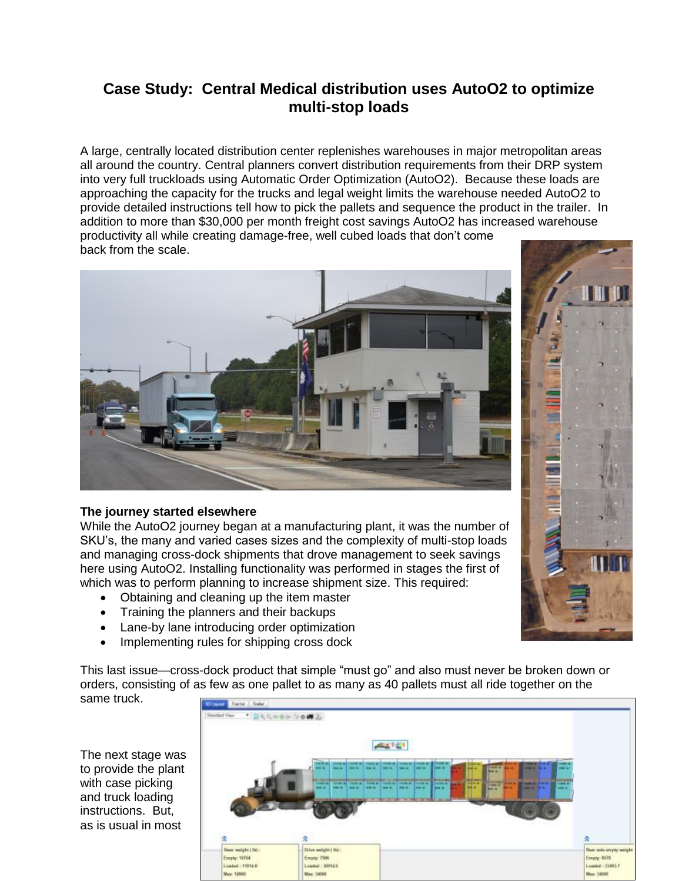## **Case Study: Central Medical distribution uses AutoO2 to optimize multi-stop loads**

A large, centrally located distribution center replenishes warehouses in major metropolitan areas all around the country. Central planners convert distribution requirements from their DRP system into very full truckloads using Automatic Order Optimization (AutoO2). Because these loads are approaching the capacity for the trucks and legal weight limits the warehouse needed AutoO2 to provide detailed instructions tell how to pick the pallets and sequence the product in the trailer. In addition to more than \$30,000 per month freight cost savings AutoO2 has increased warehouse productivity all while creating damage-free, well cubed loads that don't come back from the scale.



## **The journey started elsewhere**

While the AutoO2 journey began at a manufacturing plant, it was the number of SKU's, the many and varied cases sizes and the complexity of multi-stop loads and managing cross-dock shipments that drove management to seek savings here using AutoO2. Installing functionality was performed in stages the first of which was to perform planning to increase shipment size. This required:

- Obtaining and cleaning up the item master
- Training the planners and their backups
- Lane-by lane introducing order optimization
- Implementing rules for shipping cross dock

This last issue—cross-dock product that simple "must go" and also must never be broken down or orders, consisting of as few as one pallet to as many as 40 pallets must all ride together on the same truck.

The next stage was to provide the plant with case picking and truck loading instructions. But, as is usual in most